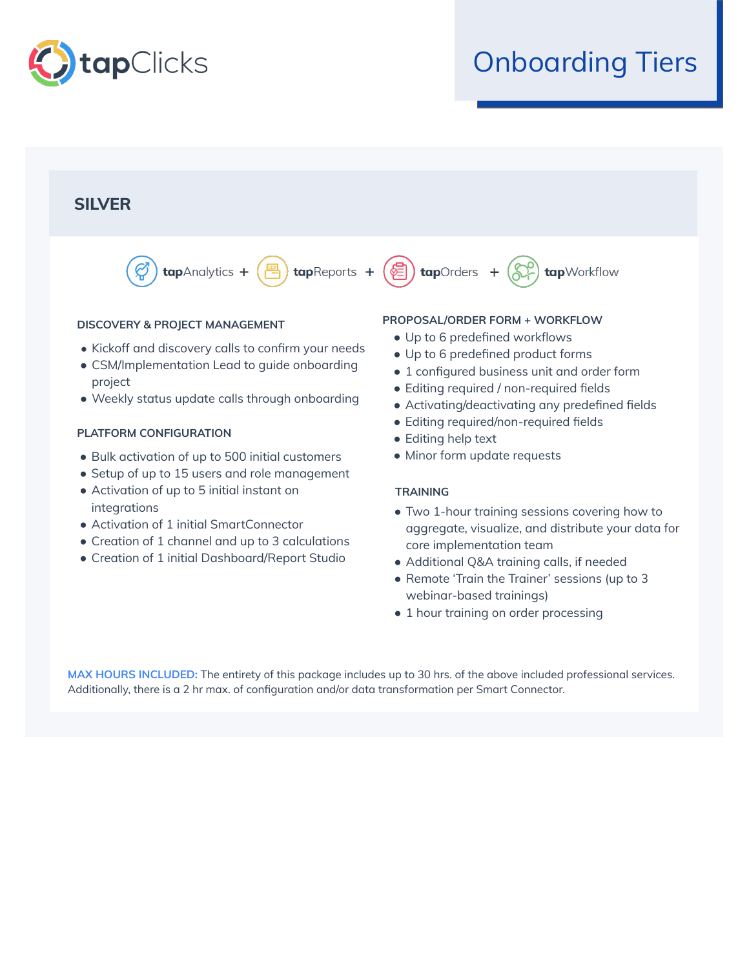

## Onboarding Tiers



- Bulk activation of up to 500 initial customers
- Setup of up to 15 users and role management
- Activation of up to 5 initial instant on integrations
- Activation of 1 initial SmartConnector
- Creation of 1 channel and up to 3 calculations
- Creation of 1 initial Dashboard/Report Studio
- 
- Minor form update requests

## **TRAINING**

- Two 1-hour training sessions covering how to aggregate, visualize, and distribute your data for core implementation team
- Additional Q&A training calls, if needed
- Remote 'Train the Trainer' sessions (up to 3 webinar-based trainings)
- 1 hour training on order processing

**MAX HOURS INCLUDED:** The entirety of this package includes up to 30 hrs. of the above included professional services. Additionally, there is a 2 hr max. of configuration and/or data transformation per Smart Connector.